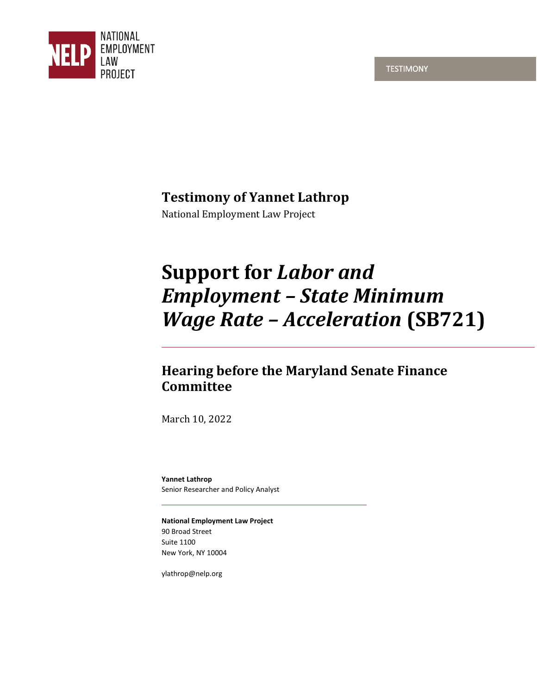



# **Testimony of Yannet Lathrop**

National Employment Law Project

# **Support for** *Labor and Employment – State Minimum Wage Rate – Acceleration* **(SB721)**

# **Hearing before the Maryland Senate Finance Committee**

March 10, 2022

**Yannet Lathrop**  Senior Researcher and Policy Analyst

**National Employment Law Project**  90 Broad Street Suite 1100 New York, NY 10004

ylathrop@nelp.org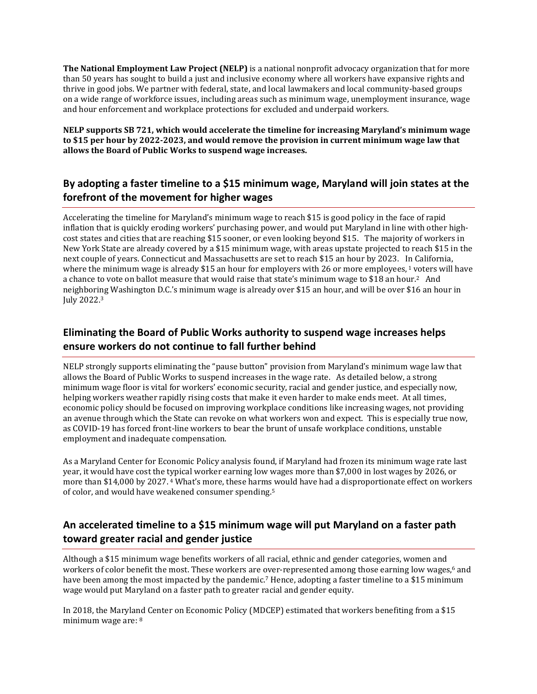**The National Employment Law Project (NELP)** is a national nonprofit advocacy organization that for more than 50 years has sought to build a just and inclusive economy where all workers have expansive rights and thrive in good jobs. We partner with federal, state, and local lawmakers and local community-based groups on a wide range of workforce issues, including areas such as minimum wage, unemployment insurance, wage and hour enforcement and workplace protections for excluded and underpaid workers.

**NELP supports SB 721, which would accelerate the timeline for increasing Maryland's minimum wage to \$15 per hour by 2022-2023, and would remove the provision in current minimum wage law that allows the Board of Public Works to suspend wage increases.** 

#### **By adopting a faster timeline to a \$15 minimum wage, Maryland will join states at the forefront of the movement for higher wages**

Accelerating the timeline for Maryland's minimum wage to reach \$15 is good policy in the face of rapid inflation that is quickly eroding workers' purchasing power, and would put Maryland in line with other highcost states and cities that are reaching \$15 sooner, or even looking beyond \$15. The majority of workers in New York State are already covered by a \$15 minimum wage, with areas upstate projected to reach \$15 in the next couple of years. Connecticut and Massachusetts are set to reach \$15 an hour by 2023. In California, where the minimum wage is already \$15 an hour for employers with 26 or more employees,<sup>1</sup> voters will have a chance to vote on ballot measure that would raise that state's minimum wage to \$18 an hour.<sup>2</sup> And neighboring Washington D.C.'s minimum wage is already over \$15 an hour, and will be over \$16 an hour in July 2022.<sup>3</sup>

## **Eliminating the Board of Public Works authority to suspend wage increases helps ensure workers do not continue to fall further behind**

NELP strongly supports eliminating the "pause button" provision from Maryland's minimum wage law that allows the Board of Public Works to suspend increases in the wage rate. As detailed below, a strong minimum wage floor is vital for workers' economic security, racial and gender justice, and especially now, helping workers weather rapidly rising costs that make it even harder to make ends meet. At all times, economic policy should be focused on improving workplace conditions like increasing wages, not providing an avenue through which the State can revoke on what workers won and expect. This is especially true now, as COVID-19 has forced front-line workers to bear the brunt of unsafe workplace conditions, unstable employment and inadequate compensation.

As a Maryland Center for Economic Policy analysis found, if Maryland had frozen its minimum wage rate last year, it would have cost the typical worker earning low wages more than \$7,000 in lost wages by 2026, or more than \$14,000 by 2027.4 What's more, these harms would have had a disproportionate effect on workers of color, and would have weakened consumer spending.<sup>5</sup>

#### **An accelerated timeline to a \$15 minimum wage will put Maryland on a faster path toward greater racial and gender justice**

Although a \$15 minimum wage benefits workers of all racial, ethnic and gender categories, women and workers of color benefit the most. These workers are over-represented among those earning low wages,<sup>6</sup> and have been among the most impacted by the pandemic.<sup>7</sup> Hence, adopting a faster timeline to a \$15 minimum wage would put Maryland on a faster path to greater racial and gender equity.

In 2018, the Maryland Center on Economic Policy (MDCEP) estimated that workers benefiting from a \$15 minimum wage are: 8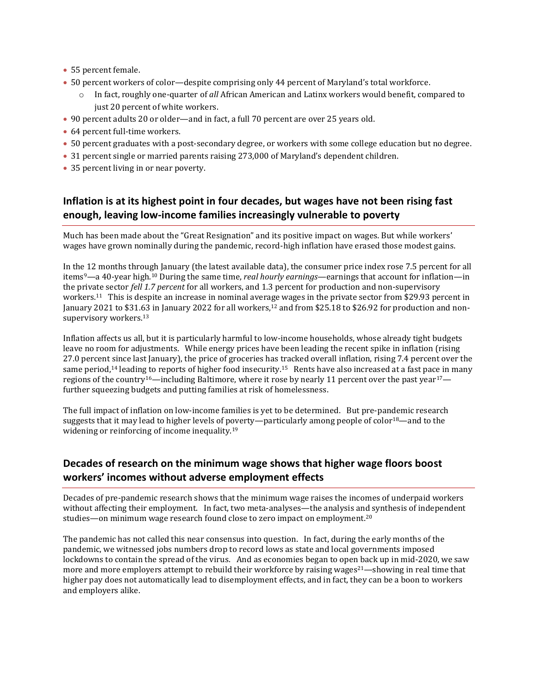- 55 percent female.
- 50 percent workers of color—despite comprising only 44 percent of Maryland's total workforce.
	- o In fact, roughly one-quarter of *all* African American and Latinx workers would benefit, compared to just 20 percent of white workers.
- 90 percent adults 20 or older—and in fact, a full 70 percent are over 25 years old.
- 64 percent full-time workers.
- 50 percent graduates with a post-secondary degree, or workers with some college education but no degree.
- 31 percent single or married parents raising 273,000 of Maryland's dependent children.
- 35 percent living in or near poverty.

#### **Inflation is at its highest point in four decades, but wages have not been rising fast enough, leaving low-income families increasingly vulnerable to poverty**

Much has been made about the "Great Resignation" and its positive impact on wages. But while workers' wages have grown nominally during the pandemic, record-high inflation have erased those modest gains.

In the 12 months through January (the latest available data), the consumer price index rose 7.5 percent for all items<sup>9</sup>—a 40-year high.10 During the same time, *real hourly earnings*—earnings that account for inflation—in the private sector *fell 1.7 percent* for all workers, and 1.3 percent for production and non-supervisory workers.11 This is despite an increase in nominal average wages in the private sector from \$29.93 percent in January 2021 to \$31.63 in January 2022 for all workers,<sup>12</sup> and from \$25.18 to \$26.92 for production and nonsupervisory workers.<sup>13</sup>

Inflation affects us all, but it is particularly harmful to low-income households, whose already tight budgets leave no room for adjustments. While energy prices have been leading the recent spike in inflation (rising 27.0 percent since last January), the price of groceries has tracked overall inflation, rising 7.4 percent over the same period,<sup>14</sup> leading to reports of higher food insecurity.<sup>15</sup> Rents have also increased at a fast pace in many regions of the country<sup>16</sup>—including Baltimore, where it rose by nearly 11 percent over the past year<sup>17</sup> further squeezing budgets and putting families at risk of homelessness.

The full impact of inflation on low-income families is yet to be determined. But pre-pandemic research suggests that it may lead to higher levels of poverty—particularly among people of color<sup>18</sup>—and to the widening or reinforcing of income inequality.<sup>19</sup>

#### **Decades of research on the minimum wage shows that higher wage floors boost workers' incomes without adverse employment effects**

Decades of pre-pandemic research shows that the minimum wage raises the incomes of underpaid workers without affecting their employment. In fact, two meta-analyses—the analysis and synthesis of independent studies—on minimum wage research found close to zero impact on employment.<sup>20</sup>

The pandemic has not called this near consensus into question. In fact, during the early months of the pandemic, we witnessed jobs numbers drop to record lows as state and local governments imposed lockdowns to contain the spread of the virus. And as economies began to open back up in mid-2020, we saw more and more employers attempt to rebuild their workforce by raising wages<sup>21</sup>—showing in real time that higher pay does not automatically lead to disemployment effects, and in fact, they can be a boon to workers and employers alike.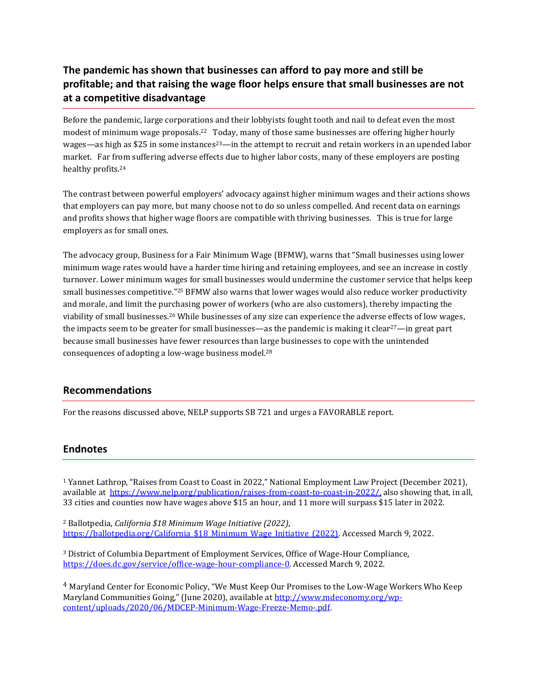### **The pandemic has shown that businesses can afford to pay more and still be profitable; and that raising the wage floor helps ensure that small businesses are not at a competitive disadvantage**

Before the pandemic, large corporations and their lobbyists fought tooth and nail to defeat even the most modest of minimum wage proposals.<sup>22</sup> Today, many of those same businesses are offering higher hourly wages—as high as \$25 in some instances<sup>23</sup>—in the attempt to recruit and retain workers in an upended labor market. Far from suffering adverse effects due to higher labor costs, many of these employers are posting healthy profits.<sup>24</sup>

The contrast between powerful employers' advocacy against higher minimum wages and their actions shows that employers can pay more, but many choose not to do so unless compelled. And recent data on earnings and profits shows that higher wage floors are compatible with thriving businesses. This is true for large employers as for small ones.

The advocacy group, Business for a Fair Minimum Wage (BFMW), warns that "Small businesses using lower minimum wage rates would have a harder time hiring and retaining employees, and see an increase in costly turnover. Lower minimum wages for small businesses would undermine the customer service that helps keep small businesses competitive." <sup>25</sup> BFMW also warns that lower wages would also reduce worker productivity and morale, and limit the purchasing power of workers (who are also customers), thereby impacting the viability of small businesses.26 While businesses of any size can experience the adverse effects of low wages, the impacts seem to be greater for small businesses—as the pandemic is making it clear<sup>27</sup>—in great part because small businesses have fewer resources than large businesses to cope with the unintended consequences of adopting a low-wage business model.<sup>28</sup>

#### **Recommendations**

For the reasons discussed above, NELP supports SB 721 and urges a FAVORABLE report.

#### **Endnotes**

<sup>1</sup> Yannet Lathrop, "Raises from Coast to Coast in 2022," National Employment Law Project (December 2021), available at <https://www.nelp.org/publication/raises-from-coast-to-coast-in-2022/,>also showing that, in all, 33 cities and counties now have wages above \$15 an hour, and 11 more will surpass \$15 later in 2022.

<sup>2</sup> Ballotpedia, *California \$18 Minimum Wage Initiative (2022)*, https://ballotpedia.org/California \$18 Minimum Wage\_Initiative\_(2022). Accessed March 9, 2022.

<sup>3</sup> District of Columbia Department of Employment Services, Office of Wage-Hour Compliance, [https://does.dc.gov/service/office-wage-hour-compliance-0.](https://does.dc.gov/service/office-wage-hour-compliance-0) Accessed March 9, 2022.

<sup>4</sup> Maryland Center for Economic Policy, "We Must Keep Our Promises to the Low-Wage Workers Who Keep Maryland Communities Going," (June 2020), available at [http://www.mdeconomy.org/wp](http://www.mdeconomy.org/wp-content/uploads/2020/06/MDCEP-Minimum-Wage-Freeze-Memo-.pdf)[content/uploads/2020/06/MDCEP-Minimum-Wage-Freeze-Memo-.pdf.](http://www.mdeconomy.org/wp-content/uploads/2020/06/MDCEP-Minimum-Wage-Freeze-Memo-.pdf)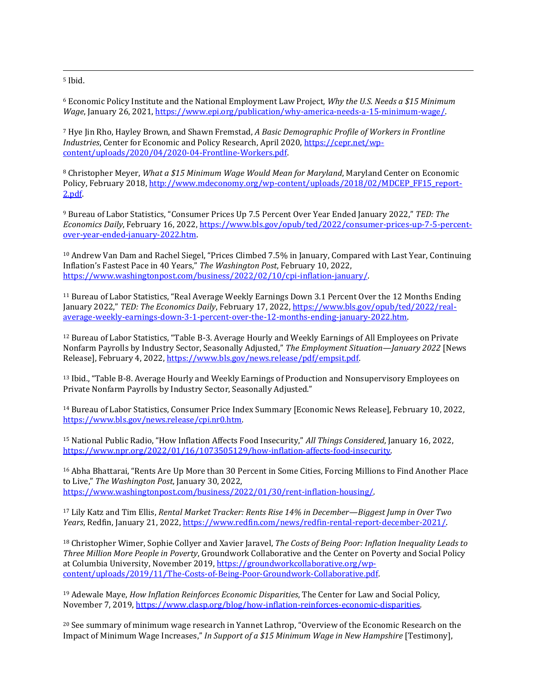<sup>5</sup> Ibid.

<sup>6</sup> Economic Policy Institute and the National Employment Law Project, *Why the U.S. Needs a \$15 Minimum Wage*, January 26, 2021, [https://www.epi.org/publication/why-america-needs-a-15-minimum-wage/.](https://www.epi.org/publication/why-america-needs-a-15-minimum-wage/) 

<sup>7</sup> Hye Jin Rho, Hayley Brown, and Shawn Fremstad, *A Basic Demographic Profile of Workers in Frontline Industries*, Center for Economic and Policy Research, April 2020, [https://cepr.net/wp](https://cepr.net/wp-content/uploads/2020/04/2020-04-Frontline-Workers.pdf)[content/uploads/2020/04/2020-04-Frontline-Workers.pdf.](https://cepr.net/wp-content/uploads/2020/04/2020-04-Frontline-Workers.pdf) 

<sup>8</sup> Christopher Meyer, *What a \$15 Minimum Wage Would Mean for Maryland*, Maryland Center on Economic Policy, February 2018, [http://www.mdeconomy.org/wp-content/uploads/2018/02/MDCEP\\_FF15\\_report-](http://www.mdeconomy.org/wp-content/uploads/2018/02/MDCEP_FF15_report-2.pdf)[2.pdf.](http://www.mdeconomy.org/wp-content/uploads/2018/02/MDCEP_FF15_report-2.pdf) 

<sup>9</sup> Bureau of Labor Statistics, "Consumer Prices Up 7.5 Percent Over Year Ended January 2022," *TED: The Economics Daily*, February 16, 2022, [https://www.bls.gov/opub/ted/2022/consumer-prices-up-7-5-percent](https://www.bls.gov/opub/ted/2022/consumer-prices-up-7-5-percent-over-year-ended-january-2022.htm)[over-year-ended-january-2022.htm.](https://www.bls.gov/opub/ted/2022/consumer-prices-up-7-5-percent-over-year-ended-january-2022.htm)

<sup>10</sup> Andrew Van Dam and Rachel Siegel, "Prices Climbed 7.5% in January, Compared with Last Year, Continuing Inflation's Fastest Pace in 40 Years," *The Washington Post*, February 10, 2022, [https://www.washingtonpost.com/business/2022/02/10/cpi-inflation-january/.](https://www.washingtonpost.com/business/2022/02/10/cpi-inflation-january/) 

<sup>11</sup> Bureau of Labor Statistics, "Real Average Weekly Earnings Down 3.1 Percent Over the 12 Months Ending January 2022," *TED: The Economics Daily*, February 17, 2022, [https://www.bls.gov/opub/ted/2022/real](https://www.bls.gov/opub/ted/2022/real-average-weekly-earnings-down-3-1-percent-over-the-12-months-ending-january-2022.htm)[average-weekly-earnings-down-3-1-percent-over-the-12-months-ending-january-2022.htm.](https://www.bls.gov/opub/ted/2022/real-average-weekly-earnings-down-3-1-percent-over-the-12-months-ending-january-2022.htm) 

<sup>12</sup> Bureau of Labor Statistics, "Table B-3. Average Hourly and Weekly Earnings of All Employees on Private Nonfarm Payrolls by Industry Sector, Seasonally Adjusted," *The Employment Situation—January 2022* [News Release], February 4, 2022, [https://www.bls.gov/news.release/pdf/empsit.pdf.](https://www.bls.gov/news.release/pdf/empsit.pdf) 

<sup>13</sup> Ibid., "Table B-8. Average Hourly and Weekly Earnings of Production and Nonsupervisory Employees on Private Nonfarm Payrolls by Industry Sector, Seasonally Adjusted."

<sup>14</sup> Bureau of Labor Statistics, Consumer Price Index Summary [Economic News Release], February 10, 2022, [https://www.bls.gov/news.release/cpi.nr0.htm.](https://www.bls.gov/news.release/cpi.nr0.htm)

<sup>15</sup> National Public Radio, "How Inflation Affects Food Insecurity," *All Things Considered*, January 16, 2022, [https://www.npr.org/2022/01/16/1073505129/how-inflation-affects-food-insecurity.](https://www.npr.org/2022/01/16/1073505129/how-inflation-affects-food-insecurity) 

<sup>16</sup> Abha Bhattarai, "Rents Are Up More than 30 Percent in Some Cities, Forcing Millions to Find Another Place to Live," *The Washington Post*, January 30, 2022, [https://www.washingtonpost.com/business/2022/01/30/rent-inflation-housing/.](https://www.washingtonpost.com/business/2022/01/30/rent-inflation-housing/) 

<sup>17</sup> Lily Katz and Tim Ellis, *Rental Market Tracker: Rents Rise 14% in December—Biggest Jump in Over Two Years*, Redfin, January 21, 2022, [https://www.redfin.com/news/redfin-rental-report-december-2021/.](https://www.redfin.com/news/redfin-rental-report-december-2021/) 

<sup>18</sup> Christopher Wimer, Sophie Collyer and Xavier Jaravel, *The Costs of Being Poor: Inflation Inequality Leads to Three Million More People in Poverty*, Groundwork Collaborative and the Center on Poverty and Social Policy at Columbia University, November 2019[, https://groundworkcollaborative.org/wp](https://groundworkcollaborative.org/wp-content/uploads/2019/11/The-Costs-of-Being-Poor-Groundwork-Collaborative.pdf)[content/uploads/2019/11/The-Costs-of-Being-Poor-Groundwork-Collaborative.pdf.](https://groundworkcollaborative.org/wp-content/uploads/2019/11/The-Costs-of-Being-Poor-Groundwork-Collaborative.pdf) 

<sup>19</sup> Adewale Maye, *How Inflation Reinforces Economic Disparities*, The Center for Law and Social Policy, November 7, 2019, [https://www.clasp.org/blog/how-inflation-reinforces-economic-disparities.](https://www.clasp.org/blog/how-inflation-reinforces-economic-disparities) 

<sup>20</sup> See summary of minimum wage research in Yannet Lathrop, "Overview of the Economic Research on the Impact of Minimum Wage Increases," *In Support of a \$15 Minimum Wage in New Hampshire* [Testimony],